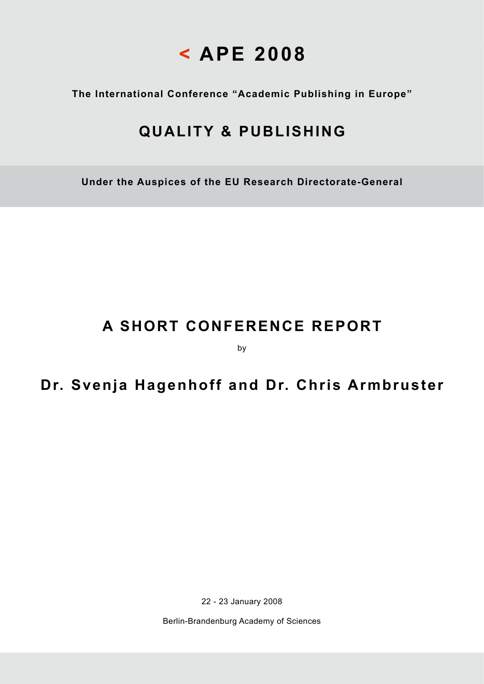# **< APE 2008**

**The International Conference "Academic Publishing in Europe"**

## **QUALITY & PUBLISHING**

**Under the Auspices of the EU Research Directorate-General**

## **A SHORT CONFERENCE REPORT**

by

### **Dr. Svenja Hagenhoff and Dr. Chris Armbruster**

22 - 23 January 2008

Berlin-Brandenburg Academy of Sciences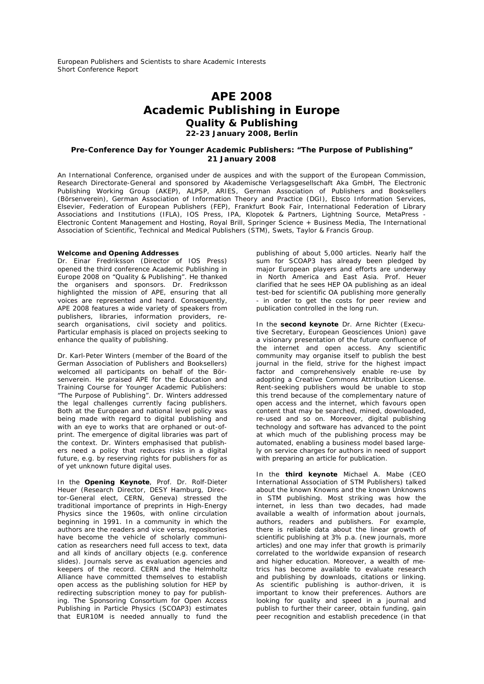European Publishers and Scientists to share Academic Interests Short Conference Report

### **APE 2008 Academic Publishing in Europe Quality & Publishing 22-23 January 2008, Berlin**

#### **Pre-Conference Day for Younger Academic Publishers: "The Purpose of Publishing" 21 January 2008**

An International Conference, organised under de auspices and with the support of the European Commission, Research Directorate-General and sponsored by Akademische Verlagsgesellschaft Aka GmbH, The Electronic Publishing Working Group (AKEP), ALPSP, ARIES, German Association of Publishers and Booksellers (Börsenverein), German Association of Information Theory and Practice (DGI), Ebsco Information Services, Elsevier, Federation of European Publishers (FEP), Frankfurt Book Fair, International Federation of Library Associations and Institutions (IFLA), IOS Press, IPA, Klopotek & Partners, Lightning Source, MetaPress - Electronic Content Management and Hosting, Royal Brill, Springer Science + Business Media, The International Association of Scientific, Technical and Medical Publishers (STM), Swets, Taylor & Francis Group.

#### **Welcome and Opening Addresses**

Dr. Einar Fredriksson (Director of IOS Press) opened the third conference Academic Publishing in Europe 2008 on "Quality & Publishing". He thanked the organisers and sponsors. Dr. Fredriksson highlighted the mission of APE, ensuring that all voices are represented and heard. Consequently, APE 2008 features a wide variety of speakers from publishers, libraries, information providers, research organisations, civil society and politics. Particular emphasis is placed on projects seeking to enhance the quality of publishing.

Dr. Karl-Peter Winters (member of the Board of the German Association of Publishers and Booksellers) welcomed all participants on behalf of the Börsenverein. He praised APE for the Education and Training Course for Younger Academic Publishers: "The Purpose of Publishing". Dr. Winters addressed the legal challenges currently facing publishers. Both at the European and national level policy was being made with regard to digital publishing and with an eye to works that are orphaned or out-ofprint. The emergence of digital libraries was part of the context. Dr. Winters emphasised that publishers need a policy that reduces risks in a digital future, e.g. by reserving rights for publishers for as of yet unknown future digital uses.

In the **Opening Keynote**, Prof. Dr. Rolf-Dieter Heuer (Research Director, DESY Hamburg, Director-General elect, CERN, Geneva) stressed the traditional importance of preprints in High-Energy Physics since the 1960s, with online circulation beginning in 1991. In a community in which the authors are the readers and vice versa, repositories have become the vehicle of scholarly communication as researchers need full access to text, data and all kinds of ancillary objects (e.g. conference slides). Journals serve as evaluation agencies and keepers of the record. CERN and the Helmholtz Alliance have committed themselves to establish open access as the publishing solution for HEP by redirecting subscription money to pay for publishing. The Sponsoring Consortium for Open Access Publishing in Particle Physics (SCOAP3) estimates that EUR10M is needed annually to fund the

publishing of about 5,000 articles. Nearly half the sum for SCOAP3 has already been pledged by major European players and efforts are underway in North America and East Asia. Prof. Heuer clarified that he sees HEP OA publishing as an ideal test-bed for scientific OA publishing more generally - in order to get the costs for peer review and publication controlled in the long run.

In the **second keynote** Dr. Arne Richter (Executive Secretary, European Geosciences Union) gave a visionary presentation of the future confluence of the internet and open access. Any scientific community may organise itself to publish the best journal in the field, strive for the highest impact factor and comprehensively enable re-use by adopting a Creative Commons Attribution License. Rent-seeking publishers would be unable to stop this trend because of the complementary nature of open access and the internet, which favours open content that may be searched, mined, downloaded, re-used and so on. Moreover, digital publishing technology and software has advanced to the point at which much of the publishing process may be automated, enabling a business model based largely on service charges for authors in need of support with preparing an article for publication.

In the **third keynote** Michael A. Mabe (CEO International Association of STM Publishers) talked about the known Knowns and the known Unknowns in STM publishing. Most striking was how the internet, in less than two decades, had made available a wealth of information about journals, authors, readers and publishers. For example, there is reliable data about the linear growth of scientific publishing at 3% p.a. (new journals, more articles) and one may infer that growth is primarily correlated to the worldwide expansion of research and higher education. Moreover, a wealth of metrics has become available to evaluate research and publishing by downloads, citations or linking. As scientific publishing is author-driven, it is important to know their preferences. Authors are looking for quality and speed in a journal and publish to further their career, obtain funding, gain peer recognition and establish precedence (in that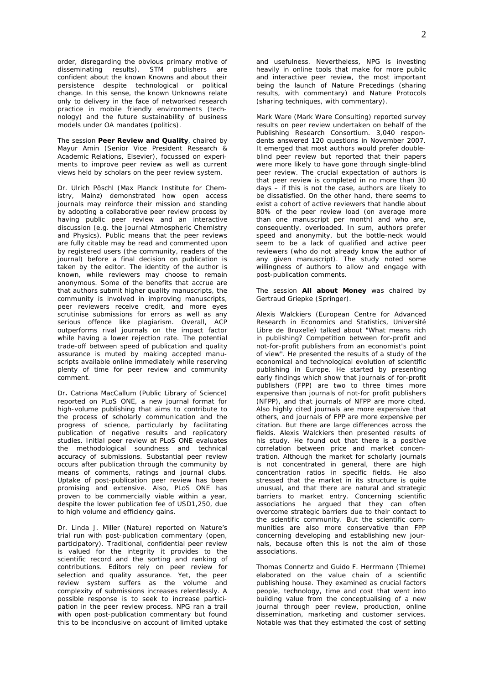order, disregarding the obvious primary motive of disseminating results). STM publishers are confident about the known Knowns and about their persistence despite technological or political change. In this sense, the known Unknowns relate only to delivery in the face of networked research practice in mobile friendly environments (technology) and the future sustainability of business models under OA mandates (politics).

The session **Peer Review and Quality**, chaired by Mayur Amin (Senior Vice President Research & Academic Relations, Elsevier), focussed on experiments to improve peer review as well as current views held by scholars on the peer review system.

Dr. Ulrich Pöschl (Max Planck Institute for Chemistry, Mainz) demonstrated how open access journals may reinforce their mission and standing by adopting a collaborative peer review process by having public peer review and an interactive discussion (e.g. the journal Atmospheric Chemistry and Physics). Public means that the peer reviews are fully citable may be read and commented upon by registered users (the community, readers of the journal) before a final decision on publication is taken by the editor. The identity of the author is known, while reviewers may choose to remain anonymous. Some of the benefits that accrue are that authors submit higher quality manuscripts, the community is involved in improving manuscripts, peer reviewers receive credit, and more eyes scrutinise submissions for errors as well as any serious offence like plagiarism. Overall, ACP outperforms rival journals on the impact factor while having a lower rejection rate. The potential trade-off between speed of publication and quality assurance is muted by making accepted manuscripts available online immediately while reserving plenty of time for peer review and community comment.

Dr**.** Catriona MacCallum (Public Library of Science) reported on PLoS ONE, a new journal format for high-volume publishing that aims to contribute to the process of scholarly communication and the progress of science, particularly by facilitating publication of negative results and replicatory studies. Initial peer review at PLoS ONE evaluates the methodological soundness and technical accuracy of submissions. Substantial peer review occurs after publication through the community by means of comments, ratings and journal clubs. Uptake of post-publication peer review has been promising and extensive. Also, PLoS ONE has proven to be commercially viable within a year, despite the lower publication fee of USD1,250, due to high volume and efficiency gains.

Dr. Linda J. Miller (Nature) reported on Nature's trial run with post-publication commentary (open, participatory). Traditional, confidential peer review is valued for the integrity it provides to the scientific record and the sorting and ranking of contributions. Editors rely on peer review for selection and quality assurance. Yet, the peer review system suffers as the volume and complexity of submissions increases relentlessly. A possible response is to seek to increase participation in the peer review process. NPG ran a trail with open post-publication commentary but found this to be inconclusive on account of limited uptake

and usefulness. Nevertheless, NPG is investing heavily in online tools that make for more public and interactive peer review, the most important being the launch of Nature Precedings (sharing results, with commentary) and Nature Protocols (sharing techniques, with commentary).

Mark Ware (Mark Ware Consulting) reported survey results on peer review undertaken on behalf of the Publishing Research Consortium. 3,040 respondents answered 120 questions in November 2007. It emerged that most authors would prefer doubleblind peer review but reported that their papers were more likely to have gone through single-blind peer review. The crucial expectation of authors is that peer review is completed in no more than 30 days – if this is not the case, authors are likely to be dissatisfied. On the other hand, there seems to exist a cohort of active reviewers that handle about 80% of the peer review load (on average more than one manuscript per month) and who are, consequently, overloaded. In sum, authors prefer speed and anonymity, but the bottle-neck would seem to be a lack of qualified and active peer reviewers (who do not already know the author of any given manuscript). The study noted some willingness of authors to allow and engage with post-publication comments.

The session **All about Money** was chaired by Gertraud Griepke (Springer).

Alexis Walckiers (European Centre for Advanced Research in Economics and Statistics, Université Libre de Bruxelle) talked about "What means rich in publishing? Competition between for-profit and not-for-profit publishers from an economist's point of view". He presented the results of a study of the economical and technological evolution of scientific publishing in Europe. He started by presenting early findings which show that journals of for-profit publishers (FPP) are two to three times more expensive than journals of not-for profit publishers (NFPP), and that journals of NFPP are more cited. Also highly cited journals are more expensive that others, and journals of FPP are more expensive per citation. But there are large differences across the fields. Alexis Walckiers then presented results of his study. He found out that there is a positive correlation between price and market concentration. Although the market for scholarly journals is not concentrated in general, there are high concentration ratios in specific fields. He also stressed that the market in its structure is quite unusual, and that there are natural and strategic barriers to market entry. Concerning scientific associations he argued that they can often overcome strategic barriers due to their contact to the scientific community. But the scientific communities are also more conservative than FPP concerning developing and establishing new journals, because often this is not the aim of those associations.

Thomas Connertz and Guido F. Herrmann (Thieme) elaborated on the value chain of a scientific publishing house. They examined as crucial factors people, technology, time and cost that went into building value from the conceptualising of a new journal through peer review, production, online dissemination, marketing and customer services. Notable was that they estimated the cost of setting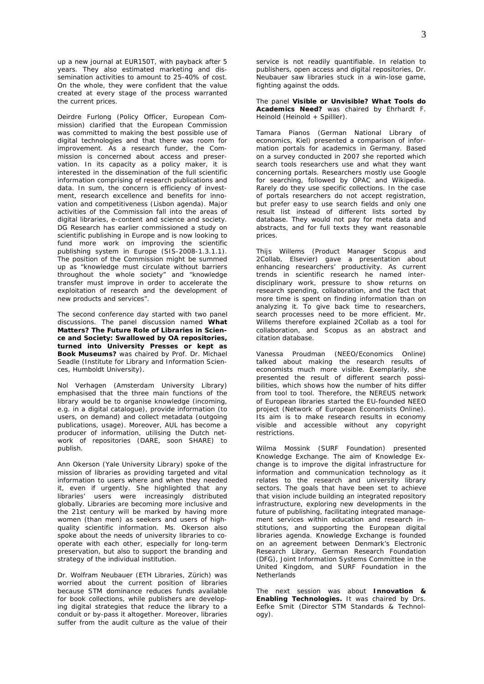up a new journal at EUR150T, with payback after 5 years. They also estimated marketing and dissemination activities to amount to 25-40% of cost. On the whole, they were confident that the value created at every stage of the process warranted the current prices.

Deirdre Furlong (Policy Officer, European Commission) clarified that the European Commission was committed to making the best possible use of digital technologies and that there was room for improvement. As a research funder, the Commission is concerned about access and preservation. In its capacity as a policy maker, it is interested in the dissemination of the full scientific information comprising of research publications and data. In sum, the concern is efficiency of investment, research excellence and benefits for innovation and competitiveness (Lisbon agenda). Major activities of the Commission fall into the areas of digital libraries, e-content and science and society. DG Research has earlier commissioned a study on scientific publishing in Europe and is now looking to fund more work on improving the scientific publishing system in Europe (SIS-2008-1.3.1.1). The position of the Commission might be summed up as "knowledge must circulate without barriers throughout the whole society" and "knowledge transfer must improve in order to accelerate the exploitation of research and the development of new products and services".

The second conference day started with two panel discussions. The panel discussion named **What Matters? The Future Role of Libraries in Science and Society: Swallowed by OA repositories, turned into University Presses or kept as Book Museums?** was chaired by Prof. Dr. Michael Seadle (Institute for Library and Information Sciences, Humboldt University).

Nol Verhagen (Amsterdam University Library) emphasised that the three main functions of the library would be to organise knowledge (incoming, e.g. in a digital catalogue), provide information (to users, on demand) and collect metadata (outgoing publications, usage). Moreover, AUL has become a producer of information, utilising the Dutch network of repositories (DARE, soon SHARE) to publish.

Ann Okerson (Yale University Library) spoke of the mission of libraries as providing targeted and vital information to users where and when they needed it, even if urgently. She highlighted that any libraries' users were increasingly distributed globally. Libraries are becoming more inclusive and the 21st century will be marked by having more women (than men) as seekers and users of highquality scientific information. Ms. Okerson also spoke about the needs of university libraries to cooperate with each other, especially for long-term preservation, but also to support the branding and strategy of the individual institution.

Dr. Wolfram Neubauer (ETH Libraries, Zürich) was worried about the current position of libraries because STM dominance reduces funds available for book collections, while publishers are developing digital strategies that reduce the library to a conduit or by-pass it altogether. Moreover, libraries suffer from the audit culture as the value of their

service is not readily quantifiable. In relation to publishers, open access and digital repositories, Dr. Neubauer saw libraries stuck in a win-lose game, fighting against the odds.

The panel **Visible or Unvisible? What Tools do Academics Need?** was chaired by Ehrhardt F. Heinold (Heinold + Spilller).

Tamara Pianos (German National Library of economics, Kiel) presented a comparison of information portals for academics in Germany. Based on a survey conducted in 2007 she reported which search tools researchers use and what they want concerning portals. Researchers mostly use Google for searching, followed by OPAC and Wikipedia. Rarely do they use specific collections. In the case of portals researchers do not accept registration, but prefer easy to use search fields and only one result list instead of different lists sorted by database. They would not pay for meta data and abstracts, and for full texts they want reasonable prices.

Thijs Willems (Product Manager Scopus and 2Collab, Elsevier) gave a presentation about enhancing researchers' productivity. As current trends in scientific research he named interdisciplinary work, pressure to show returns on research spending, collaboration, and the fact that more time is spent on finding information than on analyzing it. To give back time to researchers, search processes need to be more efficient. Mr. Willems therefore explained 2Collab as a tool for collaboration, and Scopus as an abstract and citation database.

Vanessa Proudman (NEEO/Economics Online) talked about making the research results of economists much more visible. Exemplarily, she presented the result of different search possibilities, which shows how the number of hits differ from tool to tool. Therefore, the NEREUS network of European libraries started the EU-founded NEEO project (Network of European Economists Online). Its aim is to make research results in economy visible and accessible without any copyright restrictions.

Wilma Mossink (SURF Foundation) presented Knowledge Exchange. The aim of Knowledge Exchange is to improve the digital infrastructure for information and communication technology as it relates to the research and university library sectors. The goals that have been set to achieve that vision include building an integrated repository infrastructure, exploring new developments in the future of publishing, facilitating integrated management services within education and research institutions, and supporting the European digital libraries agenda. Knowledge Exchange is founded on an agreement between Denmark's Electronic Research Library, German Research Foundation (DFG), Joint Information Systems Committee in the United Kingdom, and SURF Foundation in the **Netherlands** 

The next session was about **Innovation & Enabling Technologies.** It was chaired by Drs. Eefke Smit (Director STM Standards & Technology).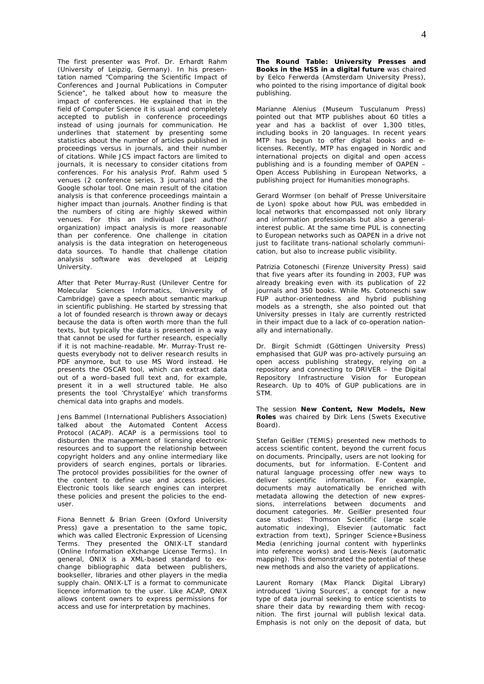The first presenter was Prof. Dr. Erhardt Rahm (University of Leipzig, Germany). In his presentation named "Comparing the Scientific Impact of Conferences and Journal Publications in Computer Science", he talked about how to measure the impact of conferences. He explained that in the field of Computer Science it is usual and completely accepted to publish in conference proceedings instead of using journals for communication. He underlines that statement by presenting some statistics about the number of articles published in proceedings versus in journals, and their number of citations. While JCS impact factors are limited to journals, it is necessary to consider citations from conferences. For his analysis Prof. Rahm used 5 venues (2 conference series, 3 journals) and the Google scholar tool. One main result of the citation analysis is that conference proceedings maintain a higher impact than journals. Another finding is that the numbers of citing are highly skewed within venues. For this an individual (per author/ organization) impact analysis is more reasonable than per conference. One challenge in citation analysis is the data integration on heterogeneous data sources. To handle that challenge citation analysis software was developed at Leipzig University.

After that Peter Murray-Rust (Unilever Centre for Molecular Sciences Informatics, University of Cambridge) gave a speech about semantic markup in scientific publishing. He started by stressing that a lot of founded research is thrown away or decays because the data is often worth more than the full texts, but typically the data is presented in a way that cannot be used for further research, especially if it is not machine-readable. Mr. Murray-Trust requests everybody not to deliver research results in PDF anymore, but to use MS Word instead. He presents the OSCAR tool, which can extract data out of a word–based full text and, for example, present it in a well structured table. He also presents the tool 'ChrystalEye' which transforms chemical data into graphs and models.

Jens Bammel (International Publishers Association) talked about the Automated Content Access Protocol (ACAP). ACAP is a permissions tool to disburden the management of licensing electronic resources and to support the relationship between copyright holders and any online intermediary like providers of search engines, portals or libraries. The protocol provides possibilities for the owner of the content to define use and access policies. Electronic tools like search engines can interpret these policies and present the policies to the enduser.

Fiona Bennett & Brian Green (Oxford University Press) gave a presentation to the same topic, which was called Electronic Expression of Licensing Terms. They presented the ONIX-LT standard (Online Information eXchange License Terms). In general, ONIX is a XML-based standard to exchange bibliographic data between publishers, bookseller, libraries and other players in the media supply chain. ONIX-LT is a format to communicate licence information to the user. Like ACAP, ONIX allows content owners to express permissions for access and use for interpretation by machines.

**The Round Table: University Presses and Books in the HSS in a digital future** was chaired by Eelco Ferwerda (Amsterdam University Press), who pointed to the rising importance of digital book publishing.

Marianne Alenius (Museum Tusculanum Press) pointed out that MTP publishes about 60 titles a year and has a backlist of over 1,300 titles, including books in 20 languages. In recent years MTP has begun to offer digital books and elicenses. Recently, MTP has engaged in Nordic and international projects on digital and open access publishing and is a founding member of OAPEN – Open Access Publishing in European Networks, a publishing project for Humanities monographs.

Gerard Wormser (on behalf of Presse Universitaire de Lyon) spoke about how PUL was embedded in local networks that encompassed not only library and information professionals but also a generalinterest public. At the same time PUL is connecting to European networks such as OAPEN in a drive not just to facilitate trans-national scholarly communication, but also to increase public visibility.

Patrizia Cotoneschi (Firenze University Press) said that five years after its founding in 2003, FUP was already breaking even with its publication of 22 journals and 350 books. While Ms. Cotoneschi saw FUP author-orientedness and hybrid publishing models as a strength, she also pointed out that University presses in Italy are currently restricted in their impact due to a lack of co-operation nationally and internationally.

Dr. Birgit Schmidt (Göttingen University Press) emphasised that GUP was pro-actively pursuing an open access publishing strategy, relying on a repository and connecting to DRIVER – the Digital Repository Infrastructure Vision for European Research. Up to 40% of GUP publications are in STM.

The session **New Content, New Models, New Roles** was chaired by Dirk Lens (Swets Executive Board).

Stefan Geißler (TEMIS) presented new methods to access scientific content, beyond the current focus on documents. Principally, users are not looking for documents, but for information. E-Content and natural language processing offer new ways to deliver scientific information. For example, documents may automatically be enriched with metadata allowing the detection of new expressions, interrelations between documents and document categories. Mr. Geißler presented four case studies: Thomson Scientific (large scale automatic indexing), Elsevier (automatic fact extraction from text), Springer Science+Business Media (enriching journal content with hyperlinks into reference works) and Lexis-Nexis (automatic mapping). This demonstrated the potential of these new methods and also the variety of applications.

Laurent Romary (Max Planck Digital Library) introduced 'Living Sources', a concept for a new type of data journal seeking to entice scientists to share their data by rewarding them with recognition. The first journal will publish lexical data. Emphasis is not only on the deposit of data, but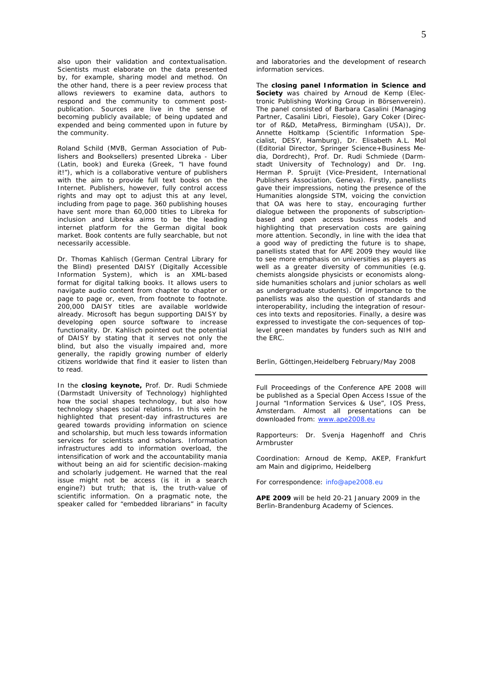also upon their validation and contextualisation. Scientists must elaborate on the data presented by, for example, sharing model and method. On the other hand, there is a peer review process that allows reviewers to examine data, authors to respond and the community to comment postpublication. Sources are live in the sense of becoming publicly available; of being updated and expended and being commented upon in future by the community.

Roland Schild (MVB, German Association of Publishers and Booksellers) presented Libreka - Liber (Latin, book) and Eureka (Greek, "I have found it!"), which is a collaborative venture of publishers with the aim to provide full text books on the Internet. Publishers, however, fully control access rights and may opt to adjust this at any level, including from page to page. 360 publishing houses have sent more than 60,000 titles to Libreka for inclusion and Libreka aims to be the leading internet platform for the German digital book market. Book contents are fully searchable, but not necessarily accessible.

Dr. Thomas Kahlisch (German Central Library for the Blind) presented DAISY (Digitally Accessible Information System), which is an XML-based format for digital talking books. It allows users to navigate audio content from chapter to chapter or page to page or, even, from footnote to footnote. 200,000 DAISY titles are available worldwide already. Microsoft has begun supporting DAISY by developing open source software to increase functionality. Dr. Kahlisch pointed out the potential of DAISY by stating that it serves not only the blind, but also the visually impaired and, more generally, the rapidly growing number of elderly citizens worldwide that find it easier to listen than to read.

In the **closing keynote,** Prof. Dr. Rudi Schmiede (Darmstadt University of Technology) highlighted how the social shapes technology, but also how technology shapes social relations. In this vein he highlighted that present-day infrastructures are geared towards providing information on science and scholarship, but much less towards information services for scientists and scholars. Information infrastructures add to information overload, the intensification of work and the accountability mania without being an aid for scientific decision-making and scholarly judgement. He warned that the real issue might not be access (is it in a search engine?) but truth; that is, the truth-value of scientific information. On a pragmatic note, the speaker called for "embedded librarians" in faculty

and laboratories and the development of research information services.

The **closing panel Information in Science and Society** was chaired by Arnoud de Kemp (Electronic Publishing Working Group in Börsenverein). The panel consisted of Barbara Casalini (Managing Partner, Casalini Libri, Fiesole), Gary Coker (Director of R&D, MetaPress, Birmingham (USA)), Dr. Annette Holtkamp (Scientific Information Specialist, DESY, Hamburg), Dr. Elisabeth A.L. Mol (Editorial Director, Springer Science+Business Media, Dordrecht), Prof. Dr. Rudi Schmiede (Darmstadt University of Technology) and Dr. Ing. Herman P. Spruijt (Vice-President, International Publishers Association, Geneva). Firstly, panellists gave their impressions, noting the presence of the Humanities alongside STM, voicing the conviction that OA was here to stay, encouraging further dialogue between the proponents of subscriptionbased and open access business models and highlighting that preservation costs are gaining more attention. Secondly, in line with the idea that a good way of predicting the future is to shape, panellists stated that for APE 2009 they would like to see more emphasis on universities as players as well as a greater diversity of communities (e.g. chemists alongside physicists or economists alongside humanities scholars and junior scholars as well as undergraduate students). Of importance to the panellists was also the question of standards and interoperability, including the integration of resources into texts and repositories. Finally, a desire was expressed to investigate the con-sequences of toplevel green mandates by funders such as NIH and the ERC.

Berlin, Göttingen,Heidelberg February/May 2008

Full Proceedings of the Conference APE 2008 will be published as a Special Open Access Issue of the Journal "Information Services & Use", IOS Press, Amsterdam. Almost all presentations can be downloaded from: www.ape2008.eu

Rapporteurs: Dr. Svenja Hagenhoff and Chris Armbruster

Coordination: Arnoud de Kemp, AKEP, Frankfurt am Main and digiprimo, Heidelberg

For correspondence: info@ape2008.eu

**APE 2009** will be held 20-21 January 2009 in the Berlin-Brandenburg Academy of Sciences.